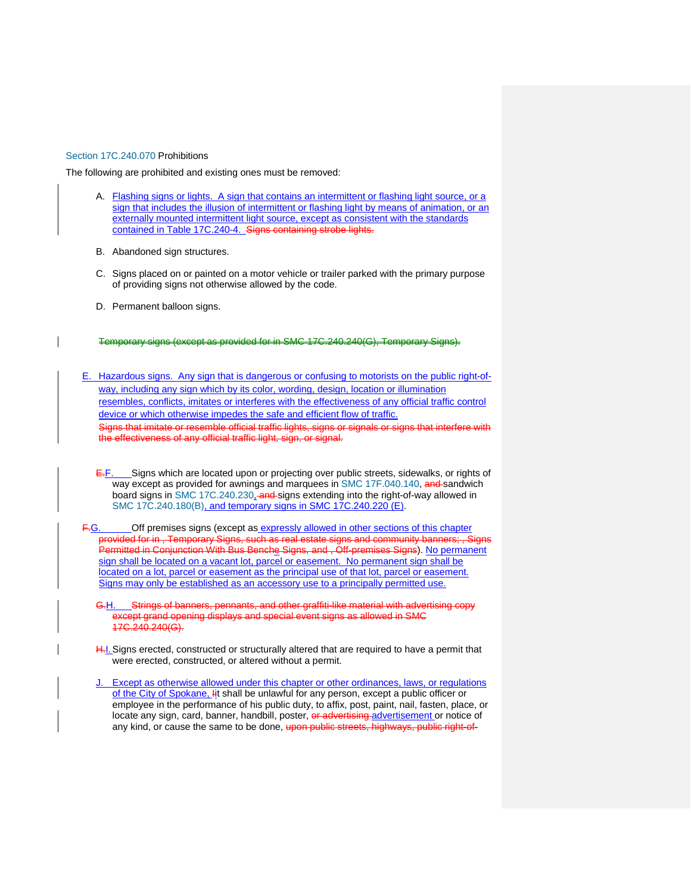## [Section 17C.240.070](https://my.spokanecity.org/smc/?Section=17C.240.070) Prohibitions

The following are prohibited and existing ones must be removed:

- A. Flashing signs or lights. A sign that contains an intermittent or flashing light source, or a sign that includes the illusion of intermittent or flashing light by means of animation, or an externally mounted intermittent light source, except as consistent with the standards contained in Table 17C.240-4. Signs containing strobe lights.
- B. Abandoned sign structures.
- C. Signs placed on or painted on a motor vehicle or trailer parked with the primary purpose of providing signs not otherwise allowed by the code.
- D. Permanent balloon signs.

Temporary signs (except as provided for in [SMC 17C.240.240\(G\),](https://my.spokanecity.org/smc/?Section=17C.240.240) Temporary Signe)

- E. Hazardous signs. Any sign that is dangerous or confusing to motorists on the public right-ofway, including any sign which by its color, wording, design, location or illumination resembles, conflicts, imitates or interferes with the effectiveness of any official traffic control device or which otherwise impedes the safe and efficient flow of traffic. Signs that imitate or resemble official traffic lights, signs or signals or signs that interfere with the effectiveness of any official traffic light, sign, or signal.
	- $E-F$ . Signs which are located upon or projecting over public streets, sidewalks, or rights of way except as provided for awnings and marquees i[n SMC 17F.040.140,](https://my.spokanecity.org/smc/?Section=17F.040.140) and sandwich board signs in SMC 17C.240.230. and signs extending into the right-of-way allowed in [SMC 17C.240.180\(B\),](https://my.spokanecity.org/smc/?Section=17C.240.240) and temporary signs in SMC 17C.240.220 (E).
- F.G. Cff premises signs (except as expressly allowed in other sections of this chapter provided for in , Temporary Signs, such as real estate signs and community banners; , Signs Permitted in Conjunction With Bus Benche Signs, and , Off-premises Signs). No permanent sign shall be located on a vacant lot, parcel or easement. No permanent sign shall be located on a lot, parcel or easement as the principal use of that lot, parcel or easement. Signs may only be established as an accessory use to a principally permitted use.
	- G.H. Strings of banners, pennants, and other graffiti-like material with advertising copy ept grand opening displays and special event signs as allowed in SMC 17C.240.240(G).
	- H.I. Signs erected, constructed or structurally altered that are required to have a permit that were erected, constructed, or altered without a permit.
	- J. Except as otherwise allowed under this chapter or other ordinances, laws, or regulations of the City of Spokane, Iit shall be unlawful for any person, except a public officer or employee in the performance of his public duty, to affix, post, paint, nail, fasten, place, or locate any sign, card, banner, handbill, poster, or advertising advertisement or notice of any kind, or cause the same to be done, upon public streets, highways, public right-of-